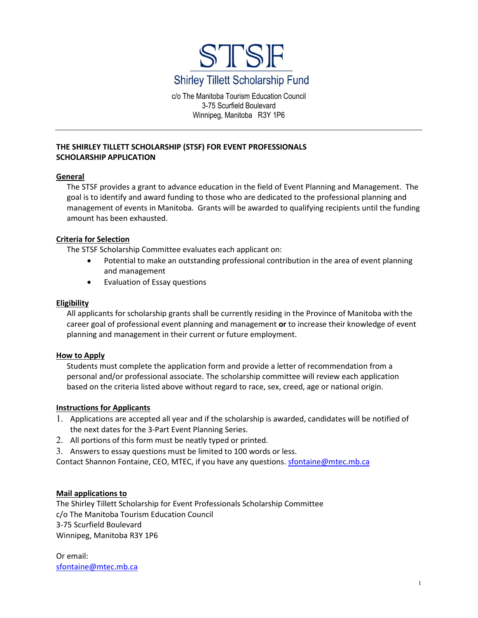

c/o The Manitoba Tourism Education Council 3-75 Scurfield Boulevard Winnipeg, Manitoba R3Y 1P6

# **THE SHIRLEY TILLETT SCHOLARSHIP (STSF) FOR EVENT PROFESSIONALS SCHOLARSHIP APPLICATION**

## **General**

The STSF provides a grant to advance education in the field of Event Planning and Management. The goal is to identify and award funding to those who are dedicated to the professional planning and management of events in Manitoba. Grants will be awarded to qualifying recipients until the funding amount has been exhausted.

## **Criteria for Selection**

The STSF Scholarship Committee evaluates each applicant on:

- Potential to make an outstanding professional contribution in the area of event planning and management
- Evaluation of Essay questions

## **Eligibility**

All applicants for scholarship grants shall be currently residing in the Province of Manitoba with the career goal of professional event planning and management **or** to increase their knowledge of event planning and management in their current or future employment.

#### **How to Apply**

Students must complete the application form and provide a letter of recommendation from a personal and/or professional associate. The scholarship committee will review each application based on the criteria listed above without regard to race, sex, creed, age or national origin.

#### **Instructions for Applicants**

- 1. Applications are accepted all year and if the scholarship is awarded, candidates will be notified of the next dates for the 3-Part Event Planning Series.
- 2. All portions of this form must be neatly typed or printed.
- 3. Answers to essay questions must be limited to 100 words or less.

Contact Shannon Fontaine, CEO, MTEC, if you have any questions. [sfontaine@mtec.mb.ca](mailto:sfontaine@mtec.mb.ca)

## **Mail applications to**

The Shirley Tillett Scholarship for Event Professionals Scholarship Committee c/o The Manitoba Tourism Education Council 3-75 Scurfield Boulevard Winnipeg, Manitoba R3Y 1P6

Or email: [sfontaine@mtec.mb.ca](mailto:sfontaine@mtec.mb.ca)